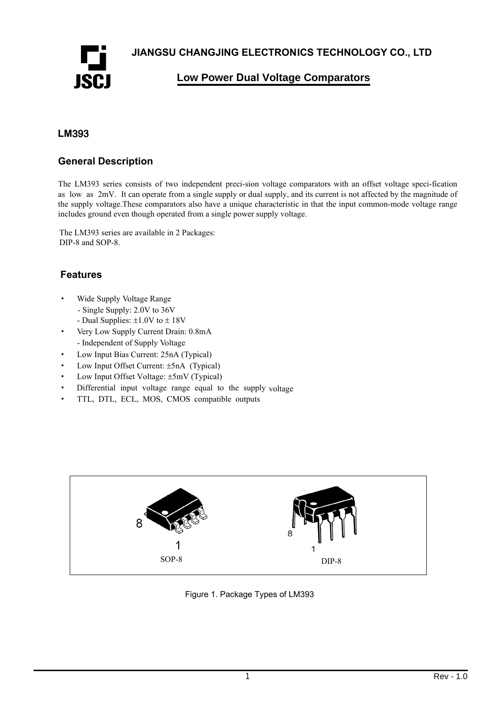**JIANGSU CHANGJING ELECTRONICS TECHNOLOGY CO., LTD** 



**Low Power Dual Voltage Comparators**

#### **LM**393

#### **General Description**

The LM393 series consists of two independent preci-sion voltage comparators with an offset voltage speci-fication as low as 2mV. It can operate from a single supply or dual supply, and its current is not affected by the magnitude of the supply voltage.These comparators also have a unique characteristic in that the input common-mode voltage range includes ground even though operated from a single power supply voltage.

The LM393 series are available in 2 Packages: DIP-8 and SOP-8.

#### **Features**

- · Wide Supply Voltage Range
	- Single Supply: 2.0V to 36V
	- Dual Supplies: ±1.0V to ± 18V
- · Very Low Supply Current Drain: 0.8mA - Independent of Supply Voltage
- · Low Input Bias Current: 25nA (Typical)
- Low Input Offset Current: ±5nA (Typical)
- · Low Input Offset Voltage: ±5mV (Typical)
- Differential input voltage range equal to the supply voltage
- · TTL, DTL, ECL, MOS, CMOS compatible outputs



Figure 1. Package Types of LM393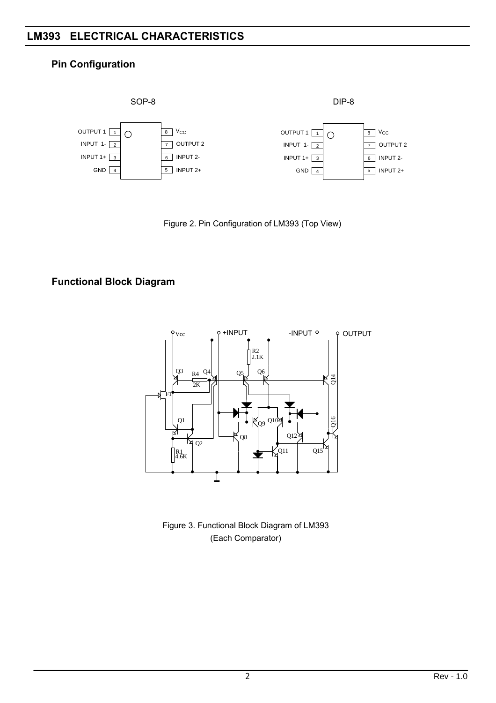#### **ELECTRICAL CHARACTERISTICS LM393**

#### **Pin Configuration**



Figure 2. Pin Configuration of LM393 (Top View)

### **Functional Block Diagram**



Figure 3. Functional Block Diagram of LM393 (Each Comparator)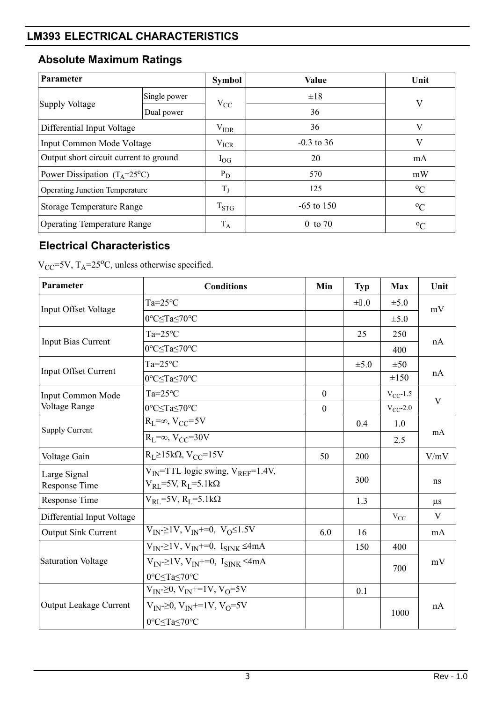## **LM393 ELECTRICAL CHARACTERISTICS**

# **Absolute Maximum Ratings**

| Parameter                              |              | <b>Symbol</b> | Value              | Unit        |
|----------------------------------------|--------------|---------------|--------------------|-------------|
| Supply Voltage                         | Single power | $V_{CC}$      | $\pm 18$           | V           |
|                                        | Dual power   |               | 36                 |             |
| Differential Input Voltage             |              | $V_{IDR}$     | 36                 | V           |
| Input Common Mode Voltage              |              | $V_{ICR}$     | $-0.3$ to 36       | V           |
| Output short circuit current to ground |              | $1_{\rm OG}$  | 20                 | mA          |
| Power Dissipation $(T_A=25^{\circ}C)$  |              | $P_D$         | 570                | mW          |
| <b>Operating Junction Temperature</b>  |              | $T_{J}$       | 125                | $\rm ^{o}C$ |
| <b>Storage Temperature Range</b>       |              | $T_{STG}$     | $-65$ to 150       | $^{0}C$     |
| <b>Operating Temperature Range</b>     |              | $T_A$         | $0 \text{ to } 70$ | $^{0}C$     |

## **Electrical Characteristics**

 $V_{CC}$ =5V, T<sub>A</sub>=25<sup>o</sup>C, unless otherwise specified.

| Parameter                     | <b>Conditions</b>                                                                          | Min          | <b>Typ</b>                                                      | <b>Max</b>    | Unit                    |  |
|-------------------------------|--------------------------------------------------------------------------------------------|--------------|-----------------------------------------------------------------|---------------|-------------------------|--|
| Input Offset Voltage          | $Ta=25^{\circ}C$                                                                           |              | $\pm 3.0$                                                       | $\pm 5.0$     | mV                      |  |
|                               | 0°C≤Ta≤70°C                                                                                |              | 25<br>$\pm 5.0$<br>0.4<br>200<br>300<br>1.3<br>16<br>150<br>0.1 | $\pm 5.0$     |                         |  |
|                               | $Ta=25^{\circ}C$                                                                           |              |                                                                 | 250           |                         |  |
| <b>Input Bias Current</b>     | 0°C <ta<70°c< td=""><td></td><td></td><td>400</td><td>nA</td></ta<70°c<>                   |              |                                                                 | 400           | nA                      |  |
| <b>Input Offset Current</b>   | $Ta=25^{\circ}C$                                                                           |              |                                                                 | $\pm 50$      |                         |  |
|                               | 0°C≤Ta≤70°C                                                                                |              |                                                                 | $\pm 150$     | nA                      |  |
| <b>Input Common Mode</b>      | $Ta=25^{\circ}C$                                                                           | $\theta$     |                                                                 | $V_{CC}$ -1.5 | V                       |  |
| Voltage Range                 | 0°C≤Ta≤70°C                                                                                | $\mathbf{0}$ |                                                                 | $V_{CC}$ -2.0 |                         |  |
| <b>Supply Current</b>         | $R_I = \infty$ , $V_{CC} = 5V$                                                             |              |                                                                 | 1.0           | mA                      |  |
|                               | $R_I = \infty$ , $V_{CC} = 30V$                                                            |              |                                                                 | 2.5           |                         |  |
| Voltage Gain                  | $R_I \geq 15k\Omega$ , $V_{CC} = 15V$                                                      | 50           |                                                                 |               | V/mV                    |  |
| Large Signal<br>Response Time | $V_{IN}$ =TTL logic swing, $V_{REF}$ =1.4V,<br>$V_{RL}$ =5V, R <sub>L</sub> =5.1k $\Omega$ |              |                                                                 |               | ns                      |  |
| Response Time                 | $V_{RL}$ =5V, R <sub>L</sub> =5.1k $\Omega$                                                |              |                                                                 |               | $\mu$ s                 |  |
| Differential Input Voltage    |                                                                                            |              |                                                                 | $V_{CC}$      | $\overline{\mathbf{V}}$ |  |
| <b>Output Sink Current</b>    | $V_{IN} \geq 1V$ , $V_{IN} \neq 0$ , $V_{O} \leq 1.5V$                                     | 6.0          |                                                                 |               | mA                      |  |
| Saturation Voltage            | $V_{IN} \geq 1V$ , $V_{IN} \neq 0$ , $I_{SINK} \leq 4mA$                                   |              |                                                                 | 400           |                         |  |
|                               | $V_{IN} \geq 1V$ , $V_{IN} \neq 0$ , $I_{SINK} \leq 4mA$                                   |              |                                                                 | 700           | mV                      |  |
|                               | 0°C≤Ta≤70°C                                                                                |              |                                                                 |               |                         |  |
|                               | $V_{IN}$ = 20, $V_{IN}$ + = 1V, $V_{O}$ = 5V                                               |              |                                                                 |               |                         |  |
| <b>Output Leakage Current</b> | $V_{IN} \ge 0$ , $V_{IN} \ne 1$ V, $V_{O} = 5V$                                            |              |                                                                 | 1000          | nA                      |  |
|                               | 0°C <ta<70°c< td=""><td></td><td></td><td></td><td></td></ta<70°c<>                        |              |                                                                 |               |                         |  |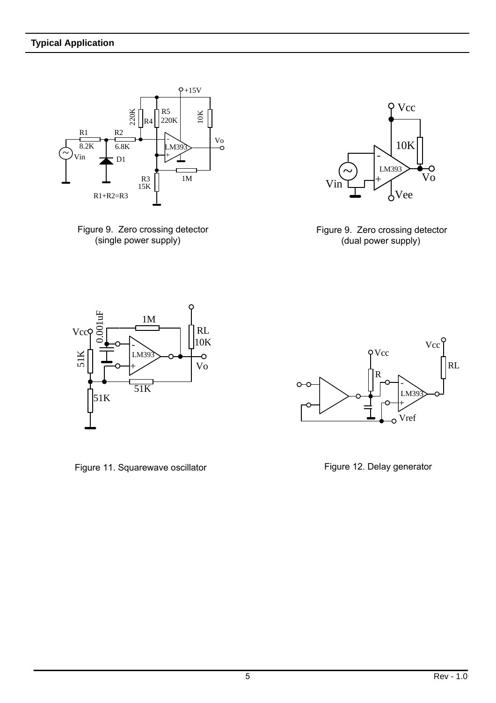





 Figure 9. Zero crossing detector (dual power supply)



Figure 11. Squarewave oscillator **Figure 12. Delay generator** Figure 12. Delay generator

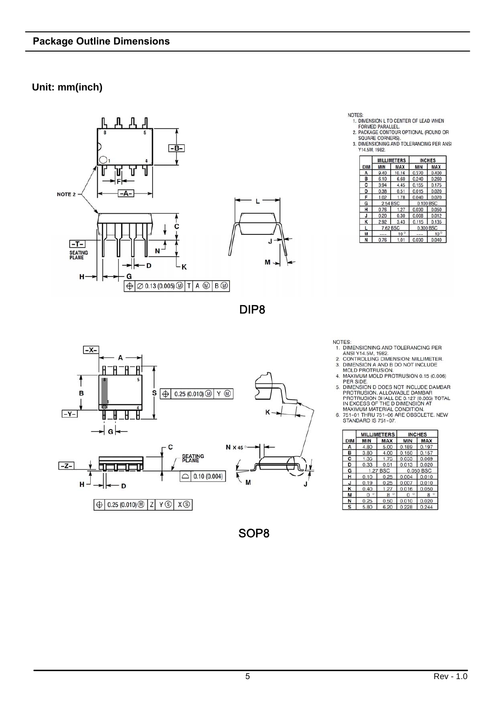### **Unit: mm(inch)**



DIP8



SOP8

NOTES:<br>1. DIMENSION L TO CENTER OF LEAD WHEN

1. DIMENSION L 10 CENTER OF LEAD WHEN<br>2. PORMED PARALLEL.<br>2. PACKAGE CONTOUR OPTIONAL (ROUND OR<br>5 SOLARE CORNERS).<br>3. DIMENSIONING AND TOLERANCING PER ANSI<br>714.5M, 1982.

|     |          | <b>MILLIMETERS</b> | <b>INCHES</b> |              |  |
|-----|----------|--------------------|---------------|--------------|--|
| DIM | MIN      | MAX                | MIN           | MAX          |  |
| Δ   | 9.40     | 10.16              | 0.370         | 0.400        |  |
| B   | 6.10     | 6.60               | 0.240         | 0.260        |  |
| C   | 3.94     | 4.45               | 0.155         | 0.175        |  |
| D   | 0.38     | 0.51               | 0.015         | 0.020        |  |
| F   | 1.02     | 1.78               | 0.040         | 0.070        |  |
| G   | 2.54 BSC |                    | 0.100 BSC     |              |  |
| н   | 0.76     | 1.27               | 0.030         | 0.050        |  |
| J   | 0.20     | 0.30               | 0.008         | 0.012        |  |
| к   | 2.92     | 3.43               | 0.115         | 0.135        |  |
|     | 7.62 BSC |                    | 0.300 BSC     |              |  |
| M   | ---      | 10 <sup>°</sup>    |               | $10^{\circ}$ |  |
| N   | 0.76     | 1.0                | 0.030         | 0.040        |  |

NOTES:<br>1. DIMENSIONING AND TOLERANCING PER<br>2. CONTROLLING DIMENSION: MILLIMETER.<br>2. CONTROLLING DIMENSION AT INCLUDE<br>3. DIMENSION A AND B DO NOT INCLUDE<br>MOLD PROTRUSION.<br>4. MAXIMUM MOLD PROTRUSION 0.15 (0.006)

4. MAXIMUM MOLD PROTRUSION 0.15 (0.006)<br>5. DIMENSION D DOES NOT INCLUDE DAMBAR<br>PROTRUSION D RILOWABLE DAMBAR<br>PROTRUSION ALLOWABLE DAMBAR<br>FROTRUSION SHALL BE 0.127 (0.005) TOTAL<br>IN EXCESS OF THE D DIMENSION AT<br>6. 751-01 THR

|            |            | <b>MILLIMETERS</b> | <b>INCHES</b> |              |  |  |
|------------|------------|--------------------|---------------|--------------|--|--|
| <b>DIM</b> | <b>MIN</b> | <b>MAX</b>         | <b>MIN</b>    | <b>MAX</b>   |  |  |
| A          | 4.80       | 5.00               | 0.189         | 0.197        |  |  |
| в          | 3.80       | 4.00               | 0.150         | 0.157        |  |  |
| c          | 1.35       | 1.75               | 0.053         | 0.069        |  |  |
| D          | 0.33       | 0.51               | 13<br>0.0     | 0.020        |  |  |
| G          | 1.2        | BSC                |               | 0.050<br>BSC |  |  |
| н          | 0.10       | 0.25               | 0.004         | 0.010        |  |  |
| J          | 0.19       | 0.25               | 0.007         | 0.010        |  |  |
| к          | 0.40       | 1.27               | 0.016         | 0.050        |  |  |
| M          | ۰<br>n     | g<br>O             | n             | R            |  |  |
| N          | 0.25       | 0.50               | 10            | 0.020        |  |  |
| S          | 5.80       | 6.20               | 0.228         | 0.244        |  |  |